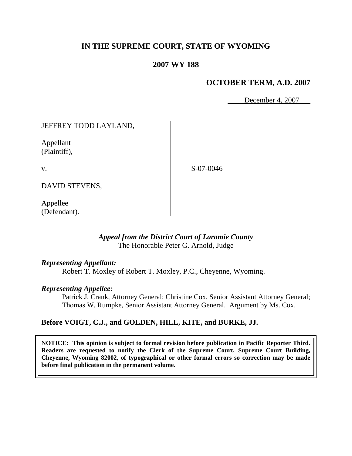# **IN THE SUPREME COURT, STATE OF WYOMING**

## **2007 WY 188**

## **OCTOBER TERM, A.D. 2007**

December 4, 2007

### JEFFREY TODD LAYLAND,

Appellant (Plaintiff),

v.

S-07-0046

DAVID STEVENS,

Appellee (Defendant).

### *Appeal from the District Court of Laramie County* The Honorable Peter G. Arnold, Judge

#### *Representing Appellant:*

Robert T. Moxley of Robert T. Moxley, P.C., Cheyenne, Wyoming.

#### *Representing Appellee:*

Patrick J. Crank, Attorney General; Christine Cox, Senior Assistant Attorney General; Thomas W. Rumpke, Senior Assistant Attorney General. Argument by Ms. Cox.

### **Before VOIGT, C.J., and GOLDEN, HILL, KITE, and BURKE, JJ.**

**NOTICE: This opinion is subject to formal revision before publication in Pacific Reporter Third. Readers are requested to notify the Clerk of the Supreme Court, Supreme Court Building, Cheyenne, Wyoming 82002, of typographical or other formal errors so correction may be made before final publication in the permanent volume.**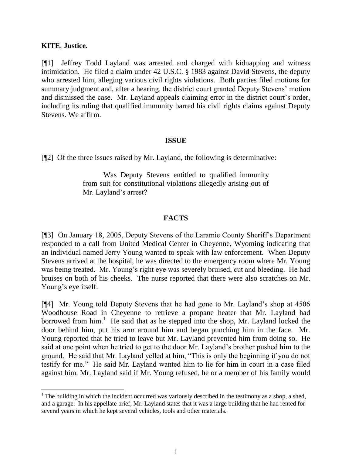### **KITE**, **Justice.**

[¶1] Jeffrey Todd Layland was arrested and charged with kidnapping and witness intimidation. He filed a claim under 42 U.S.C. § 1983 against David Stevens, the deputy who arrested him, alleging various civil rights violations. Both parties filed motions for summary judgment and, after a hearing, the district court granted Deputy Stevens' motion and dismissed the case. Mr. Layland appeals claiming error in the district court's order, including its ruling that qualified immunity barred his civil rights claims against Deputy Stevens. We affirm.

### **ISSUE**

[¶2] Of the three issues raised by Mr. Layland, the following is determinative:

Was Deputy Stevens entitled to qualified immunity from suit for constitutional violations allegedly arising out of Mr. Layland's arrest?

### **FACTS**

[¶3] On January 18, 2005, Deputy Stevens of the Laramie County Sheriff"s Department responded to a call from United Medical Center in Cheyenne, Wyoming indicating that an individual named Jerry Young wanted to speak with law enforcement. When Deputy Stevens arrived at the hospital, he was directed to the emergency room where Mr. Young was being treated. Mr. Young's right eye was severely bruised, cut and bleeding. He had bruises on both of his cheeks. The nurse reported that there were also scratches on Mr. Young's eye itself.

[¶4] Mr. Young told Deputy Stevens that he had gone to Mr. Layland"s shop at 4506 Woodhouse Road in Cheyenne to retrieve a propane heater that Mr. Layland had borrowed from  $him.$ <sup>1</sup> He said that as he stepped into the shop, Mr. Layland locked the door behind him, put his arm around him and began punching him in the face. Mr. Young reported that he tried to leave but Mr. Layland prevented him from doing so. He said at one point when he tried to get to the door Mr. Layland"s brother pushed him to the ground. He said that Mr. Layland yelled at him, "This is only the beginning if you do not testify for me." He said Mr. Layland wanted him to lie for him in court in a case filed against him. Mr. Layland said if Mr. Young refused, he or a member of his family would

 $1$ . The building in which the incident occurred was variously described in the testimony as a shop, a shed, and a garage. In his appellate brief, Mr. Layland states that it was a large building that he had rented for several years in which he kept several vehicles, tools and other materials.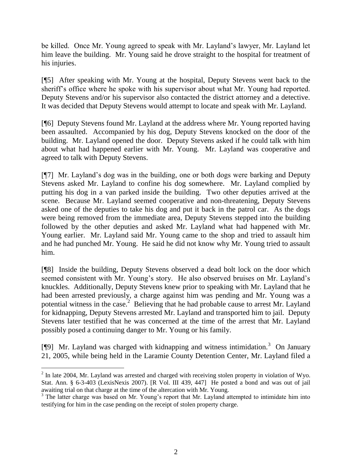be killed. Once Mr. Young agreed to speak with Mr. Layland"s lawyer, Mr. Layland let him leave the building. Mr. Young said he drove straight to the hospital for treatment of his injuries.

[¶5] After speaking with Mr. Young at the hospital, Deputy Stevens went back to the sheriff"s office where he spoke with his supervisor about what Mr. Young had reported. Deputy Stevens and/or his supervisor also contacted the district attorney and a detective. It was decided that Deputy Stevens would attempt to locate and speak with Mr. Layland.

[¶6] Deputy Stevens found Mr. Layland at the address where Mr. Young reported having been assaulted. Accompanied by his dog, Deputy Stevens knocked on the door of the building. Mr. Layland opened the door. Deputy Stevens asked if he could talk with him about what had happened earlier with Mr. Young. Mr. Layland was cooperative and agreed to talk with Deputy Stevens.

[¶7] Mr. Layland"s dog was in the building, one or both dogs were barking and Deputy Stevens asked Mr. Layland to confine his dog somewhere. Mr. Layland complied by putting his dog in a van parked inside the building. Two other deputies arrived at the scene. Because Mr. Layland seemed cooperative and non-threatening, Deputy Stevens asked one of the deputies to take his dog and put it back in the patrol car. As the dogs were being removed from the immediate area, Deputy Stevens stepped into the building followed by the other deputies and asked Mr. Layland what had happened with Mr. Young earlier. Mr. Layland said Mr. Young came to the shop and tried to assault him and he had punched Mr. Young. He said he did not know why Mr. Young tried to assault him.

[¶8] Inside the building, Deputy Stevens observed a dead bolt lock on the door which seemed consistent with Mr. Young's story. He also observed bruises on Mr. Layland's knuckles. Additionally, Deputy Stevens knew prior to speaking with Mr. Layland that he had been arrested previously, a charge against him was pending and Mr. Young was a potential witness in the case.<sup>2</sup> Believing that he had probable cause to arrest Mr. Layland for kidnapping, Deputy Stevens arrested Mr. Layland and transported him to jail. Deputy Stevens later testified that he was concerned at the time of the arrest that Mr. Layland possibly posed a continuing danger to Mr. Young or his family.

[¶9] Mr. Layland was charged with kidnapping and witness intimidation.<sup>3</sup> On January 21, 2005, while being held in the Laramie County Detention Center, Mr. Layland filed a

 $\overline{a}$ 

 $2$  In late 2004, Mr. Layland was arrested and charged with receiving stolen property in violation of Wyo. Stat. Ann. § 6-3-403 (LexisNexis 2007). [R Vol. III 439, 447] He posted a bond and was out of jail awaiting trial on that charge at the time of the altercation with Mr. Young.

<sup>&</sup>lt;sup>3</sup> The latter charge was based on Mr. Young's report that Mr. Layland attempted to intimidate him into testifying for him in the case pending on the receipt of stolen property charge.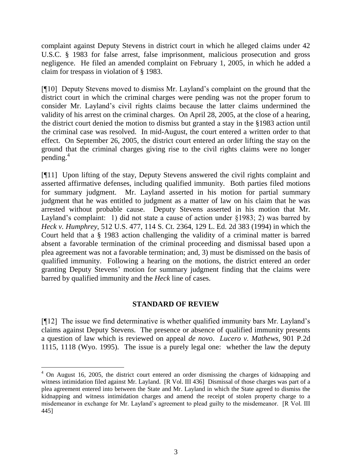complaint against Deputy Stevens in district court in which he alleged claims under 42 U.S.C. § 1983 for false arrest, false imprisonment, malicious prosecution and gross negligence. He filed an amended complaint on February 1, 2005, in which he added a claim for trespass in violation of § 1983.

[¶10] Deputy Stevens moved to dismiss Mr. Layland"s complaint on the ground that the district court in which the criminal charges were pending was not the proper forum to consider Mr. Layland"s civil rights claims because the latter claims undermined the validity of his arrest on the criminal charges. On April 28, 2005, at the close of a hearing, the district court denied the motion to dismiss but granted a stay in the §1983 action until the criminal case was resolved. In mid-August, the court entered a written order to that effect. On September 26, 2005, the district court entered an order lifting the stay on the ground that the criminal charges giving rise to the civil rights claims were no longer  $p$ ending.<sup>4</sup>

[¶11] Upon lifting of the stay, Deputy Stevens answered the civil rights complaint and asserted affirmative defenses, including qualified immunity. Both parties filed motions for summary judgment. Mr. Layland asserted in his motion for partial summary judgment that he was entitled to judgment as a matter of law on his claim that he was arrested without probable cause. Deputy Stevens asserted in his motion that Mr. Layland's complaint: 1) did not state a cause of action under §1983; 2) was barred by *Heck v. Humphrey*, 512 U.S. 477, 114 S. Ct. 2364, 129 L. Ed. 2d 383 (1994) in which the Court held that a § 1983 action challenging the validity of a criminal matter is barred absent a favorable termination of the criminal proceeding and dismissal based upon a plea agreement was not a favorable termination; and, 3) must be dismissed on the basis of qualified immunity. Following a hearing on the motions, the district entered an order granting Deputy Stevens" motion for summary judgment finding that the claims were barred by qualified immunity and the *Heck* line of cases.

## **STANDARD OF REVIEW**

[¶12] The issue we find determinative is whether qualified immunity bars Mr. Layland"s claims against Deputy Stevens. The presence or absence of qualified immunity presents a question of law which is reviewed on appeal *de novo*. *Lucero v. Mathews*, 901 P.2d 1115, 1118 (Wyo. 1995). The issue is a purely legal one: whether the law the deputy

 $\overline{a}$  $4$  On August 16, 2005, the district court entered an order dismissing the charges of kidnapping and witness intimidation filed against Mr. Layland. [R Vol. III 436] Dismissal of those charges was part of a plea agreement entered into between the State and Mr. Layland in which the State agreed to dismiss the kidnapping and witness intimidation charges and amend the receipt of stolen property charge to a misdemeanor in exchange for Mr. Layland"s agreement to plead guilty to the misdemeanor. [R Vol. III 445]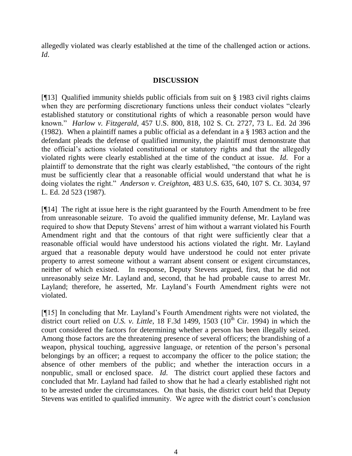allegedly violated was clearly established at the time of the challenged action or actions. *Id*.

## **DISCUSSION**

[¶13] Qualified immunity shields public officials from suit on § 1983 civil rights claims when they are performing discretionary functions unless their conduct violates "clearly established statutory or constitutional rights of which a reasonable person would have known." *Harlow v. Fitzgerald*, 457 U.S. 800, 818, 102 S. Ct. 2727, 73 L. Ed. 2d 396 (1982). When a plaintiff names a public official as a defendant in a § 1983 action and the defendant pleads the defense of qualified immunity, the plaintiff must demonstrate that the official"s actions violated constitutional or statutory rights and that the allegedly violated rights were clearly established at the time of the conduct at issue. *Id*. For a plaintiff to demonstrate that the right was clearly established, "the contours of the right must be sufficiently clear that a reasonable official would understand that what he is doing violates the right." *Anderson v. Creighton*, 483 U.S. 635, 640, 107 S. Ct. 3034, 97 L. Ed. 2d 523 (1987).

[¶14] The right at issue here is the right guaranteed by the Fourth Amendment to be free from unreasonable seizure. To avoid the qualified immunity defense, Mr. Layland was required to show that Deputy Stevens" arrest of him without a warrant violated his Fourth Amendment right and that the contours of that right were sufficiently clear that a reasonable official would have understood his actions violated the right. Mr. Layland argued that a reasonable deputy would have understood he could not enter private property to arrest someone without a warrant absent consent or exigent circumstances, neither of which existed. In response, Deputy Stevens argued, first, that he did not unreasonably seize Mr. Layland and, second, that he had probable cause to arrest Mr. Layland; therefore, he asserted, Mr. Layland"s Fourth Amendment rights were not violated.

[¶15] In concluding that Mr. Layland's Fourth Amendment rights were not violated, the district court relied on *U.S. v. Little*, 18 F.3d 1499, 1503  $(10^{th}$  Cir. 1994) in which the court considered the factors for determining whether a person has been illegally seized. Among those factors are the threatening presence of several officers; the brandishing of a weapon, physical touching, aggressive language, or retention of the person"s personal belongings by an officer; a request to accompany the officer to the police station; the absence of other members of the public; and whether the interaction occurs in a nonpublic, small or enclosed space. *Id*. The district court applied these factors and concluded that Mr. Layland had failed to show that he had a clearly established right not to be arrested under the circumstances. On that basis, the district court held that Deputy Stevens was entitled to qualified immunity. We agree with the district court's conclusion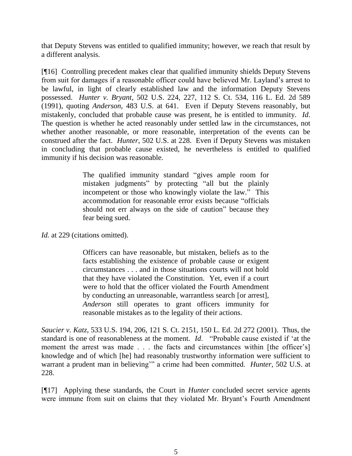that Deputy Stevens was entitled to qualified immunity; however, we reach that result by a different analysis.

[¶16] Controlling precedent makes clear that qualified immunity shields Deputy Stevens from suit for damages if a reasonable officer could have believed Mr. Layland"s arrest to be lawful, in light of clearly established law and the information Deputy Stevens possessed. *Hunter v. Bryant*, 502 U.S. 224, 227, 112 S. Ct. 534, 116 L. Ed. 2d 589 (1991), quoting *Anderson*, 483 U.S. at 641. Even if Deputy Stevens reasonably, but mistakenly, concluded that probable cause was present, he is entitled to immunity. *Id*. The question is whether he acted reasonably under settled law in the circumstances, not whether another reasonable, or more reasonable, interpretation of the events can be construed after the fact. *Hunter*, 502 U.S. at 228. Even if Deputy Stevens was mistaken in concluding that probable cause existed, he nevertheless is entitled to qualified immunity if his decision was reasonable.

> The qualified immunity standard "gives ample room for mistaken judgments" by protecting "all but the plainly incompetent or those who knowingly violate the law." This accommodation for reasonable error exists because "officials should not err always on the side of caution" because they fear being sued.

Id. at 229 (citations omitted).

Officers can have reasonable, but mistaken, beliefs as to the facts establishing the existence of probable cause or exigent circumstances . . . and in those situations courts will not hold that they have violated the Constitution. Yet, even if a court were to hold that the officer violated the Fourth Amendment by conducting an unreasonable, warrantless search [or arrest], *Anderson* still operates to grant officers immunity for reasonable mistakes as to the legality of their actions.

*Saucier v. Katz*, 533 U.S. 194, 206, 121 S. Ct. 2151, 150 L. Ed. 2d 272 (2001). Thus, the standard is one of reasonableness at the moment. *Id*. "Probable cause existed if "at the moment the arrest was made . . . the facts and circumstances within [the officer's] knowledge and of which [he] had reasonably trustworthy information were sufficient to warrant a prudent man in believing"" a crime had been committed. *Hunter*, 502 U.S. at 228.

[¶17] Applying these standards, the Court in *Hunter* concluded secret service agents were immune from suit on claims that they violated Mr. Bryant's Fourth Amendment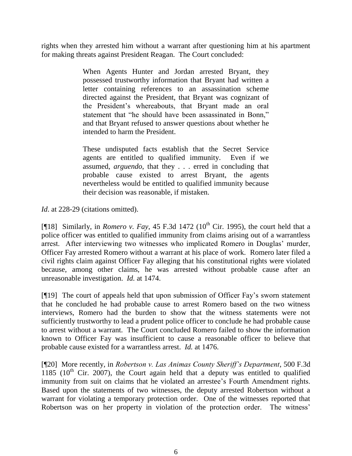rights when they arrested him without a warrant after questioning him at his apartment for making threats against President Reagan. The Court concluded:

> When Agents Hunter and Jordan arrested Bryant, they possessed trustworthy information that Bryant had written a letter containing references to an assassination scheme directed against the President, that Bryant was cognizant of the President"s whereabouts, that Bryant made an oral statement that "he should have been assassinated in Bonn," and that Bryant refused to answer questions about whether he intended to harm the President.

> These undisputed facts establish that the Secret Service agents are entitled to qualified immunity. Even if we assumed, *arguendo*, that they . . . erred in concluding that probable cause existed to arrest Bryant, the agents nevertheless would be entitled to qualified immunity because their decision was reasonable, if mistaken.

*Id*. at 228-29 (citations omitted).

[ $[$ [18] Similarly, in *Romero v. Fay*, 45 F.3d 1472 ( $10<sup>th</sup>$  Cir. 1995), the court held that a police officer was entitled to qualified immunity from claims arising out of a warrantless arrest. After interviewing two witnesses who implicated Romero in Douglas" murder, Officer Fay arrested Romero without a warrant at his place of work. Romero later filed a civil rights claim against Officer Fay alleging that his constitutional rights were violated because, among other claims, he was arrested without probable cause after an unreasonable investigation. *Id.* at 1474.

[¶19] The court of appeals held that upon submission of Officer Fay"s sworn statement that he concluded he had probable cause to arrest Romero based on the two witness interviews, Romero had the burden to show that the witness statements were not sufficiently trustworthy to lead a prudent police officer to conclude he had probable cause to arrest without a warrant. The Court concluded Romero failed to show the information known to Officer Fay was insufficient to cause a reasonable officer to believe that probable cause existed for a warrantless arrest. *Id.* at 1476.

[¶20] More recently, in *Robertson v. Las Animas County Sheriff's Department*, 500 F.3d  $1185$  ( $10<sup>th</sup>$  Cir. 2007), the Court again held that a deputy was entitled to qualified immunity from suit on claims that he violated an arrestee's Fourth Amendment rights. Based upon the statements of two witnesses, the deputy arrested Robertson without a warrant for violating a temporary protection order. One of the witnesses reported that Robertson was on her property in violation of the protection order. The witness'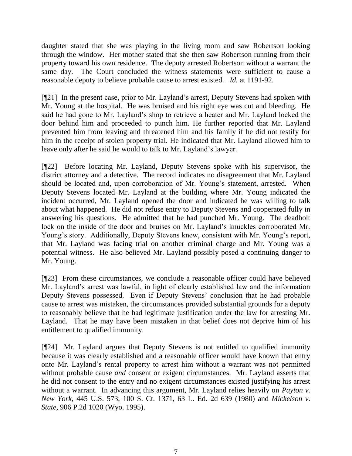daughter stated that she was playing in the living room and saw Robertson looking through the window. Her mother stated that she then saw Robertson running from their property toward his own residence. The deputy arrested Robertson without a warrant the same day. The Court concluded the witness statements were sufficient to cause a reasonable deputy to believe probable cause to arrest existed. *Id.* at 1191-92.

[¶21] In the present case, prior to Mr. Layland"s arrest, Deputy Stevens had spoken with Mr. Young at the hospital. He was bruised and his right eye was cut and bleeding. He said he had gone to Mr. Layland"s shop to retrieve a heater and Mr. Layland locked the door behind him and proceeded to punch him. He further reported that Mr. Layland prevented him from leaving and threatened him and his family if he did not testify for him in the receipt of stolen property trial. He indicated that Mr. Layland allowed him to leave only after he said he would to talk to Mr. Layland"s lawyer.

[¶22] Before locating Mr. Layland, Deputy Stevens spoke with his supervisor, the district attorney and a detective. The record indicates no disagreement that Mr. Layland should be located and, upon corroboration of Mr. Young's statement, arrested. When Deputy Stevens located Mr. Layland at the building where Mr. Young indicated the incident occurred, Mr. Layland opened the door and indicated he was willing to talk about what happened. He did not refuse entry to Deputy Stevens and cooperated fully in answering his questions. He admitted that he had punched Mr. Young. The deadbolt lock on the inside of the door and bruises on Mr. Layland"s knuckles corroborated Mr. Young's story. Additionally, Deputy Stevens knew, consistent with Mr. Young's report, that Mr. Layland was facing trial on another criminal charge and Mr. Young was a potential witness. He also believed Mr. Layland possibly posed a continuing danger to Mr. Young.

[¶23] From these circumstances, we conclude a reasonable officer could have believed Mr. Layland"s arrest was lawful, in light of clearly established law and the information Deputy Stevens possessed. Even if Deputy Stevens" conclusion that he had probable cause to arrest was mistaken, the circumstances provided substantial grounds for a deputy to reasonably believe that he had legitimate justification under the law for arresting Mr. Layland. That he may have been mistaken in that belief does not deprive him of his entitlement to qualified immunity.

[¶24] Mr. Layland argues that Deputy Stevens is not entitled to qualified immunity because it was clearly established and a reasonable officer would have known that entry onto Mr. Layland"s rental property to arrest him without a warrant was not permitted without probable cause *and* consent or exigent circumstances. Mr. Layland asserts that he did not consent to the entry and no exigent circumstances existed justifying his arrest without a warrant. In advancing this argument, Mr. Layland relies heavily on *Payton v. New York*, 445 U.S. 573, 100 S. Ct. 1371, 63 L. Ed. 2d 639 (1980) and *Mickelson v. State*, 906 P.2d 1020 (Wyo. 1995).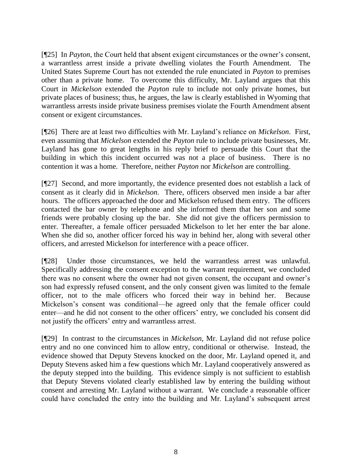[¶25] In *Payton*, the Court held that absent exigent circumstances or the owner's consent, a warrantless arrest inside a private dwelling violates the Fourth Amendment. The United States Supreme Court has not extended the rule enunciated in *Payton* to premises other than a private home. To overcome this difficulty, Mr. Layland argues that this Court in *Mickelson* extended the *Payton* rule to include not only private homes, but private places of business; thus, he argues, the law is clearly established in Wyoming that warrantless arrests inside private business premises violate the Fourth Amendment absent consent or exigent circumstances.

[¶26] There are at least two difficulties with Mr. Layland"s reliance on *Mickelson*. First, even assuming that *Mickelson* extended the *Payton* rule to include private businesses, Mr. Layland has gone to great lengths in his reply brief to persuade this Court that the building in which this incident occurred was not a place of business. There is no contention it was a home. Therefore, neither *Payton* nor *Mickelson* are controlling.

[¶27] Second, and more importantly, the evidence presented does not establish a lack of consent as it clearly did in *Mickelson*. There, officers observed men inside a bar after hours. The officers approached the door and Mickelson refused them entry. The officers contacted the bar owner by telephone and she informed them that her son and some friends were probably closing up the bar. She did not give the officers permission to enter. Thereafter, a female officer persuaded Mickelson to let her enter the bar alone. When she did so, another officer forced his way in behind her, along with several other officers, and arrested Mickelson for interference with a peace officer.

[¶28] Under those circumstances, we held the warrantless arrest was unlawful. Specifically addressing the consent exception to the warrant requirement, we concluded there was no consent where the owner had not given consent, the occupant and owner"s son had expressly refused consent, and the only consent given was limited to the female officer, not to the male officers who forced their way in behind her. Because Mickelson"s consent was conditional—he agreed only that the female officer could enter—and he did not consent to the other officers' entry, we concluded his consent did not justify the officers' entry and warrantless arrest.

[¶29] In contrast to the circumstances in *Mickelson*, Mr. Layland did not refuse police entry and no one convinced him to allow entry, conditional or otherwise. Instead, the evidence showed that Deputy Stevens knocked on the door, Mr. Layland opened it, and Deputy Stevens asked him a few questions which Mr. Layland cooperatively answered as the deputy stepped into the building. This evidence simply is not sufficient to establish that Deputy Stevens violated clearly established law by entering the building without consent and arresting Mr. Layland without a warrant. We conclude a reasonable officer could have concluded the entry into the building and Mr. Layland"s subsequent arrest